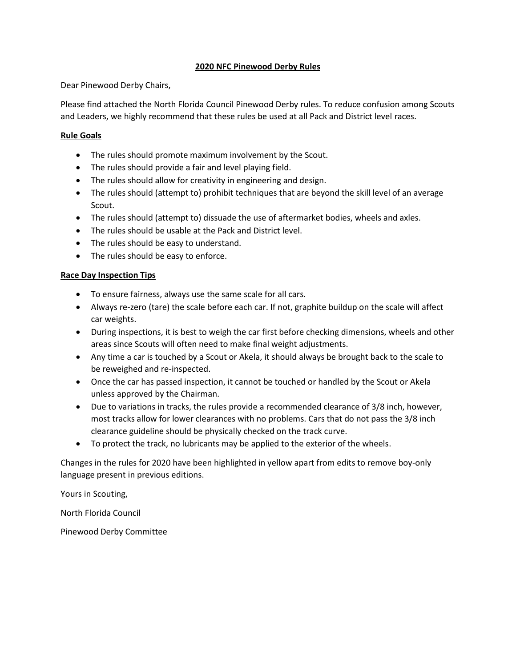## **2020 NFC Pinewood Derby Rules**

Dear Pinewood Derby Chairs,

Please find attached the North Florida Council Pinewood Derby rules. To reduce confusion among Scouts and Leaders, we highly recommend that these rules be used at all Pack and District level races.

## **Rule Goals**

- The rules should promote maximum involvement by the Scout.
- The rules should provide a fair and level playing field.
- The rules should allow for creativity in engineering and design.
- The rules should (attempt to) prohibit techniques that are beyond the skill level of an average Scout.
- The rules should (attempt to) dissuade the use of aftermarket bodies, wheels and axles.
- The rules should be usable at the Pack and District level.
- The rules should be easy to understand.
- The rules should be easy to enforce.

## **Race Day Inspection Tips**

- To ensure fairness, always use the same scale for all cars.
- Always re-zero (tare) the scale before each car. If not, graphite buildup on the scale will affect car weights.
- During inspections, it is best to weigh the car first before checking dimensions, wheels and other areas since Scouts will often need to make final weight adjustments.
- Any time a car is touched by a Scout or Akela, it should always be brought back to the scale to be reweighed and re-inspected.
- Once the car has passed inspection, it cannot be touched or handled by the Scout or Akela unless approved by the Chairman.
- Due to variations in tracks, the rules provide a recommended clearance of 3/8 inch, however, most tracks allow for lower clearances with no problems. Cars that do not pass the 3/8 inch clearance guideline should be physically checked on the track curve.
- To protect the track, no lubricants may be applied to the exterior of the wheels.

Changes in the rules for 2020 have been highlighted in yellow apart from edits to remove boy-only language present in previous editions.

Yours in Scouting,

North Florida Council

Pinewood Derby Committee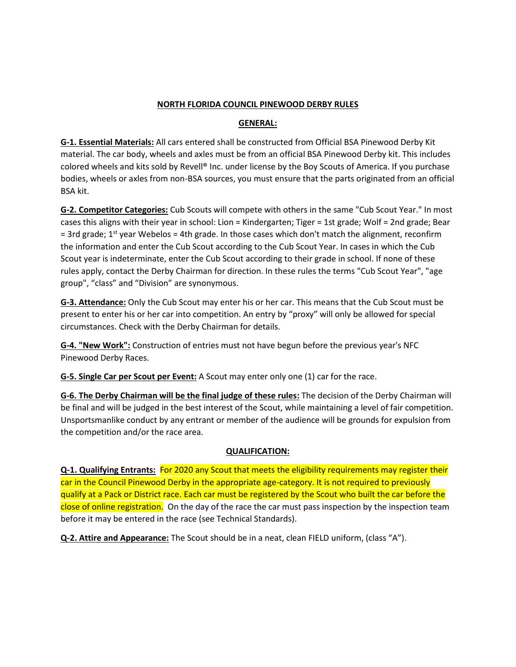## **NORTH FLORIDA COUNCIL PINEWOOD DERBY RULES**

## **GENERAL:**

**G-1. Essential Materials:** All cars entered shall be constructed from Official BSA Pinewood Derby Kit material. The car body, wheels and axles must be from an official BSA Pinewood Derby kit. This includes colored wheels and kits sold by Revell® Inc. under license by the Boy Scouts of America. If you purchase bodies, wheels or axles from non-BSA sources, you must ensure that the parts originated from an official BSA kit.

**G-2. Competitor Categories:** Cub Scouts will compete with others in the same "Cub Scout Year." In most cases this aligns with their year in school: Lion = Kindergarten; Tiger = 1st grade; Wolf = 2nd grade; Bear = 3rd grade;  $1<sup>st</sup>$  year Webelos = 4th grade. In those cases which don't match the alignment, reconfirm the information and enter the Cub Scout according to the Cub Scout Year. In cases in which the Cub Scout year is indeterminate, enter the Cub Scout according to their grade in school. If none of these rules apply, contact the Derby Chairman for direction. In these rules the terms "Cub Scout Year", "age group", "class" and "Division" are synonymous.

**G-3. Attendance:** Only the Cub Scout may enter his or her car. This means that the Cub Scout must be present to enter his or her car into competition. An entry by "proxy" will only be allowed for special circumstances. Check with the Derby Chairman for details.

**G-4. "New Work":** Construction of entries must not have begun before the previous year's NFC Pinewood Derby Races.

**G-5. Single Car per Scout per Event:** A Scout may enter only one (1) car for the race.

**G-6. The Derby Chairman will be the final judge of these rules:** The decision of the Derby Chairman will be final and will be judged in the best interest of the Scout, while maintaining a level of fair competition. Unsportsmanlike conduct by any entrant or member of the audience will be grounds for expulsion from the competition and/or the race area.

## **QUALIFICATION:**

**Q-1. Qualifying Entrants:** For 2020 any Scout that meets the eligibility requirements may register their car in the Council Pinewood Derby in the appropriate age-category. It is not required to previously qualify at a Pack or District race. Each car must be registered by the Scout who built the car before the close of online registration. On the day of the race the car must pass inspection by the inspection team before it may be entered in the race (see Technical Standards).

**Q-2. Attire and Appearance:** The Scout should be in a neat, clean FIELD uniform, (class "A").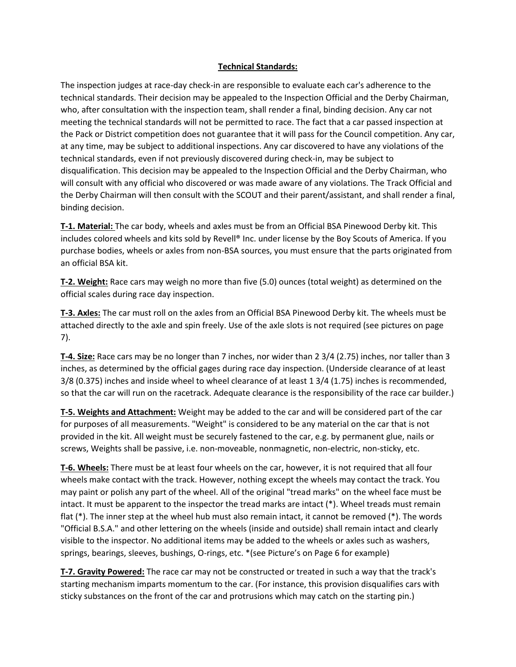## **Technical Standards:**

The inspection judges at race-day check-in are responsible to evaluate each car's adherence to the technical standards. Their decision may be appealed to the Inspection Official and the Derby Chairman, who, after consultation with the inspection team, shall render a final, binding decision. Any car not meeting the technical standards will not be permitted to race. The fact that a car passed inspection at the Pack or District competition does not guarantee that it will pass for the Council competition. Any car, at any time, may be subject to additional inspections. Any car discovered to have any violations of the technical standards, even if not previously discovered during check-in, may be subject to disqualification. This decision may be appealed to the Inspection Official and the Derby Chairman, who will consult with any official who discovered or was made aware of any violations. The Track Official and the Derby Chairman will then consult with the SCOUT and their parent/assistant, and shall render a final, binding decision.

**T-1. Material:** The car body, wheels and axles must be from an Official BSA Pinewood Derby kit. This includes colored wheels and kits sold by Revell® Inc. under license by the Boy Scouts of America. If you purchase bodies, wheels or axles from non-BSA sources, you must ensure that the parts originated from an official BSA kit.

**T-2. Weight:** Race cars may weigh no more than five (5.0) ounces (total weight) as determined on the official scales during race day inspection.

**T-3. Axles:** The car must roll on the axles from an Official BSA Pinewood Derby kit. The wheels must be attached directly to the axle and spin freely. Use of the axle slots is not required (see pictures on page 7).

**T-4. Size:** Race cars may be no longer than 7 inches, nor wider than 2 3/4 (2.75) inches, nor taller than 3 inches, as determined by the official gages during race day inspection. (Underside clearance of at least 3/8 (0.375) inches and inside wheel to wheel clearance of at least 1 3/4 (1.75) inches is recommended, so that the car will run on the racetrack. Adequate clearance is the responsibility of the race car builder.)

**T-5. Weights and Attachment:** Weight may be added to the car and will be considered part of the car for purposes of all measurements. "Weight" is considered to be any material on the car that is not provided in the kit. All weight must be securely fastened to the car, e.g. by permanent glue, nails or screws, Weights shall be passive, i.e. non-moveable, nonmagnetic, non-electric, non-sticky, etc.

**T-6. Wheels:** There must be at least four wheels on the car, however, it is not required that all four wheels make contact with the track. However, nothing except the wheels may contact the track. You may paint or polish any part of the wheel. All of the original "tread marks" on the wheel face must be intact. It must be apparent to the inspector the tread marks are intact (\*). Wheel treads must remain flat (\*). The inner step at the wheel hub must also remain intact, it cannot be removed (\*). The words "Official B.S.A." and other lettering on the wheels (inside and outside) shall remain intact and clearly visible to the inspector. No additional items may be added to the wheels or axles such as washers, springs, bearings, sleeves, bushings, O-rings, etc. \*(see Picture's on Page 6 for example)

**T-7. Gravity Powered:** The race car may not be constructed or treated in such a way that the track's starting mechanism imparts momentum to the car. (For instance, this provision disqualifies cars with sticky substances on the front of the car and protrusions which may catch on the starting pin.)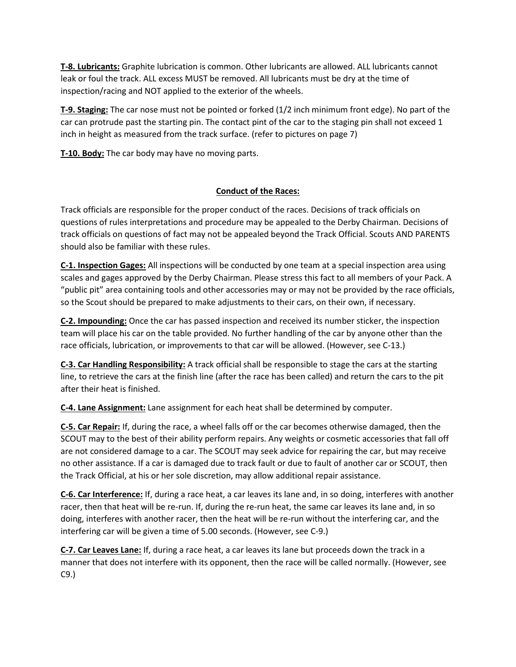**T-8. Lubricants:** Graphite lubrication is common. Other lubricants are allowed. ALL lubricants cannot leak or foul the track. ALL excess MUST be removed. All lubricants must be dry at the time of inspection/racing and NOT applied to the exterior of the wheels.

**T-9. Staging:** The car nose must not be pointed or forked (1/2 inch minimum front edge). No part of the car can protrude past the starting pin. The contact pint of the car to the staging pin shall not exceed 1 inch in height as measured from the track surface. (refer to pictures on page 7)

**T-10. Body:** The car body may have no moving parts.

# **Conduct of the Races:**

Track officials are responsible for the proper conduct of the races. Decisions of track officials on questions of rules interpretations and procedure may be appealed to the Derby Chairman. Decisions of track officials on questions of fact may not be appealed beyond the Track Official. Scouts AND PARENTS should also be familiar with these rules.

**C-1. Inspection Gages:** All inspections will be conducted by one team at a special inspection area using scales and gages approved by the Derby Chairman. Please stress this fact to all members of your Pack. A "public pit" area containing tools and other accessories may or may not be provided by the race officials, so the Scout should be prepared to make adjustments to their cars, on their own, if necessary.

**C-2. Impounding:** Once the car has passed inspection and received its number sticker, the inspection team will place his car on the table provided. No further handling of the car by anyone other than the race officials, lubrication, or improvements to that car will be allowed. (However, see C-13.)

**C-3. Car Handling Responsibility:** A track official shall be responsible to stage the cars at the starting line, to retrieve the cars at the finish line (after the race has been called) and return the cars to the pit after their heat is finished.

**C-4. Lane Assignment:** Lane assignment for each heat shall be determined by computer.

**C-5. Car Repair:** If, during the race, a wheel falls off or the car becomes otherwise damaged, then the SCOUT may to the best of their ability perform repairs. Any weights or cosmetic accessories that fall off are not considered damage to a car. The SCOUT may seek advice for repairing the car, but may receive no other assistance. If a car is damaged due to track fault or due to fault of another car or SCOUT, then the Track Official, at his or her sole discretion, may allow additional repair assistance.

**C-6. Car Interference:** If, during a race heat, a car leaves its lane and, in so doing, interferes with another racer, then that heat will be re-run. If, during the re-run heat, the same car leaves its lane and, in so doing, interferes with another racer, then the heat will be re-run without the interfering car, and the interfering car will be given a time of 5.00 seconds. (However, see C-9.)

**C-7. Car Leaves Lane:** If, during a race heat, a car leaves its lane but proceeds down the track in a manner that does not interfere with its opponent, then the race will be called normally. (However, see C9.)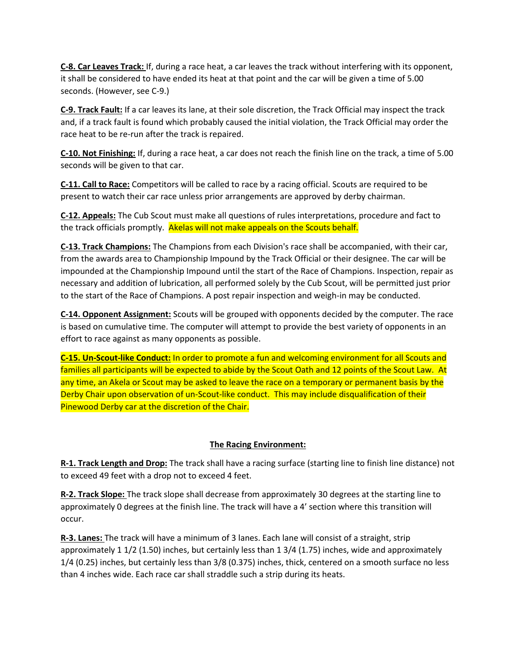**C-8. Car Leaves Track:** If, during a race heat, a car leaves the track without interfering with its opponent, it shall be considered to have ended its heat at that point and the car will be given a time of 5.00 seconds. (However, see C-9.)

**C-9. Track Fault:** If a car leaves its lane, at their sole discretion, the Track Official may inspect the track and, if a track fault is found which probably caused the initial violation, the Track Official may order the race heat to be re-run after the track is repaired.

**C-10. Not Finishing:** If, during a race heat, a car does not reach the finish line on the track, a time of 5.00 seconds will be given to that car.

**C-11. Call to Race:** Competitors will be called to race by a racing official. Scouts are required to be present to watch their car race unless prior arrangements are approved by derby chairman.

**C-12. Appeals:** The Cub Scout must make all questions of rules interpretations, procedure and fact to the track officials promptly. Akelas will not make appeals on the Scouts behalf.

**C-13. Track Champions:** The Champions from each Division's race shall be accompanied, with their car, from the awards area to Championship Impound by the Track Official or their designee. The car will be impounded at the Championship Impound until the start of the Race of Champions. Inspection, repair as necessary and addition of lubrication, all performed solely by the Cub Scout, will be permitted just prior to the start of the Race of Champions. A post repair inspection and weigh-in may be conducted.

**C-14. Opponent Assignment:** Scouts will be grouped with opponents decided by the computer. The race is based on cumulative time. The computer will attempt to provide the best variety of opponents in an effort to race against as many opponents as possible.

**C-15. Un-Scout-like Conduct:** In order to promote a fun and welcoming environment for all Scouts and families all participants will be expected to abide by the Scout Oath and 12 points of the Scout Law. At any time, an Akela or Scout may be asked to leave the race on a temporary or permanent basis by the Derby Chair upon observation of un-Scout-like conduct. This may include disqualification of their Pinewood Derby car at the discretion of the Chair.

## **The Racing Environment:**

**R-1. Track Length and Drop:** The track shall have a racing surface (starting line to finish line distance) not to exceed 49 feet with a drop not to exceed 4 feet.

**R-2. Track Slope:** The track slope shall decrease from approximately 30 degrees at the starting line to approximately 0 degrees at the finish line. The track will have a 4' section where this transition will occur.

**R-3. Lanes:** The track will have a minimum of 3 lanes. Each lane will consist of a straight, strip approximately 1 1/2 (1.50) inches, but certainly less than 1 3/4 (1.75) inches, wide and approximately 1/4 (0.25) inches, but certainly less than 3/8 (0.375) inches, thick, centered on a smooth surface no less than 4 inches wide. Each race car shall straddle such a strip during its heats.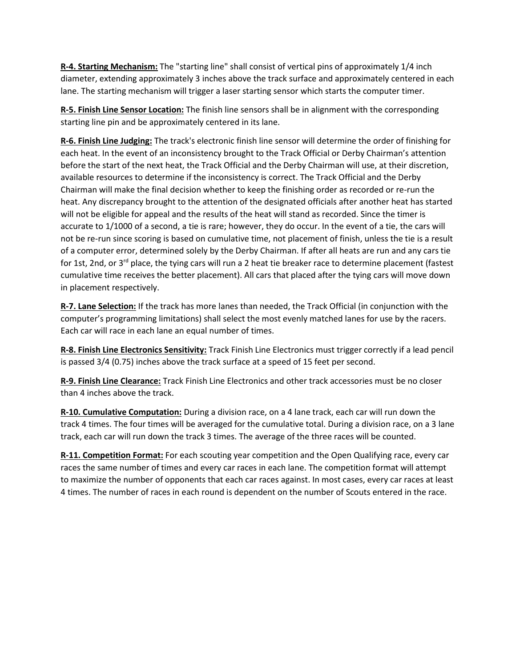**R-4. Starting Mechanism:** The "starting line" shall consist of vertical pins of approximately 1/4 inch diameter, extending approximately 3 inches above the track surface and approximately centered in each lane. The starting mechanism will trigger a laser starting sensor which starts the computer timer.

**R-5. Finish Line Sensor Location:** The finish line sensors shall be in alignment with the corresponding starting line pin and be approximately centered in its lane.

**R-6. Finish Line Judging:** The track's electronic finish line sensor will determine the order of finishing for each heat. In the event of an inconsistency brought to the Track Official or Derby Chairman's attention before the start of the next heat, the Track Official and the Derby Chairman will use, at their discretion, available resources to determine if the inconsistency is correct. The Track Official and the Derby Chairman will make the final decision whether to keep the finishing order as recorded or re-run the heat. Any discrepancy brought to the attention of the designated officials after another heat has started will not be eligible for appeal and the results of the heat will stand as recorded. Since the timer is accurate to 1/1000 of a second, a tie is rare; however, they do occur. In the event of a tie, the cars will not be re-run since scoring is based on cumulative time, not placement of finish, unless the tie is a result of a computer error, determined solely by the Derby Chairman. If after all heats are run and any cars tie for 1st, 2nd, or 3<sup>rd</sup> place, the tying cars will run a 2 heat tie breaker race to determine placement (fastest cumulative time receives the better placement). All cars that placed after the tying cars will move down in placement respectively.

**R-7. Lane Selection:** If the track has more lanes than needed, the Track Official (in conjunction with the computer's programming limitations) shall select the most evenly matched lanes for use by the racers. Each car will race in each lane an equal number of times.

**R-8. Finish Line Electronics Sensitivity:** Track Finish Line Electronics must trigger correctly if a lead pencil is passed 3/4 (0.75) inches above the track surface at a speed of 15 feet per second.

**R-9. Finish Line Clearance:** Track Finish Line Electronics and other track accessories must be no closer than 4 inches above the track.

**R-10. Cumulative Computation:** During a division race, on a 4 lane track, each car will run down the track 4 times. The four times will be averaged for the cumulative total. During a division race, on a 3 lane track, each car will run down the track 3 times. The average of the three races will be counted.

**R-11. Competition Format:** For each scouting year competition and the Open Qualifying race, every car races the same number of times and every car races in each lane. The competition format will attempt to maximize the number of opponents that each car races against. In most cases, every car races at least 4 times. The number of races in each round is dependent on the number of Scouts entered in the race.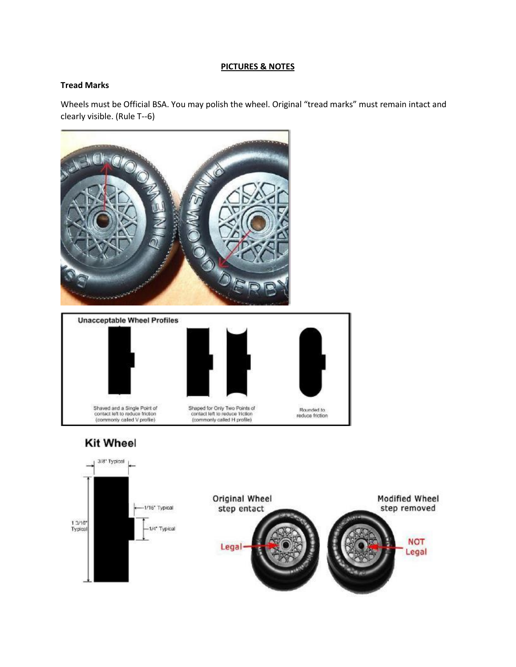#### **PICTURES & NOTES**

#### **Tread Marks**

Wheels must be Official BSA. You may polish the wheel. Original "tread marks" must remain intact and clearly visible. (Rule T--6)

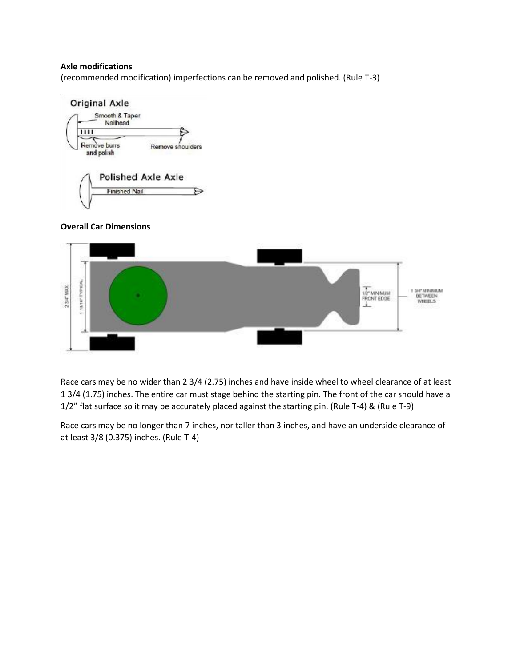#### **Axle modifications**

(recommended modification) imperfections can be removed and polished. (Rule T-3)



## **Overall Car Dimensions**



Race cars may be no wider than 2 3/4 (2.75) inches and have inside wheel to wheel clearance of at least 1 3/4 (1.75) inches. The entire car must stage behind the starting pin. The front of the car should have a 1/2" flat surface so it may be accurately placed against the starting pin. (Rule T-4) & (Rule T-9)

Race cars may be no longer than 7 inches, nor taller than 3 inches, and have an underside clearance of at least 3/8 (0.375) inches. (Rule T-4)